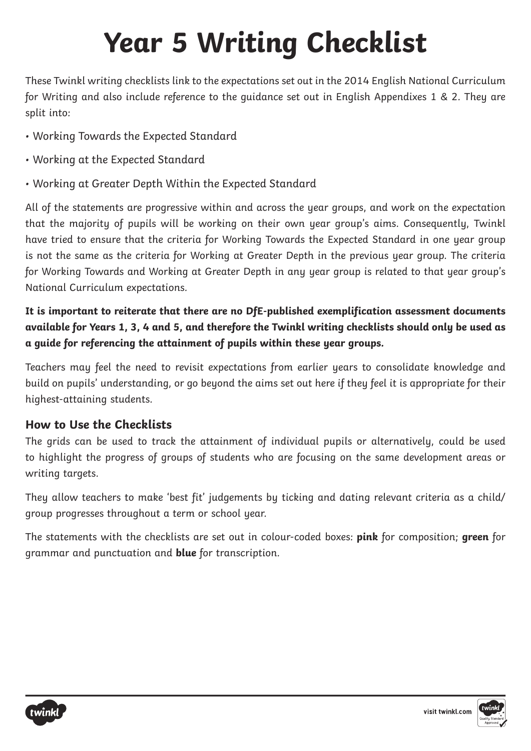These Twinkl writing checklists link to the expectations set out in the 2014 English National Curriculum for Writing and also include reference to the guidance set out in English Appendixes 1 & 2. They are split into:

- Working Towards the Expected Standard
- Working at the Expected Standard
- Working at Greater Depth Within the Expected Standard

All of the statements are progressive within and across the year groups, and work on the expectation that the majority of pupils will be working on their own year group's aims. Consequently, Twinkl have tried to ensure that the criteria for Working Towards the Expected Standard in one year group is not the same as the criteria for Working at Greater Depth in the previous year group. The criteria for Working Towards and Working at Greater Depth in any year group is related to that year group's National Curriculum expectations.

**It is important to reiterate that there are no DfE-published exemplification assessment documents available for Years 1, 3, 4 and 5, and therefore the Twinkl writing checklists should only be used as a guide for referencing the attainment of pupils within these year groups.** 

Teachers may feel the need to revisit expectations from earlier years to consolidate knowledge and build on pupils' understanding, or go beyond the aims set out here if they feel it is appropriate for their highest-attaining students.

### **How to Use the Checklists**

The grids can be used to track the attainment of individual pupils or alternatively, could be used to highlight the progress of groups of students who are focusing on the same development areas or writing targets.

They allow teachers to make 'best fit' judgements by ticking and dating relevant criteria as a child/ group progresses throughout a term or school year.

The statements with the checklists are set out in colour-coded boxes: **pink** for composition; **green** for grammar and punctuation and **blue** for transcription.



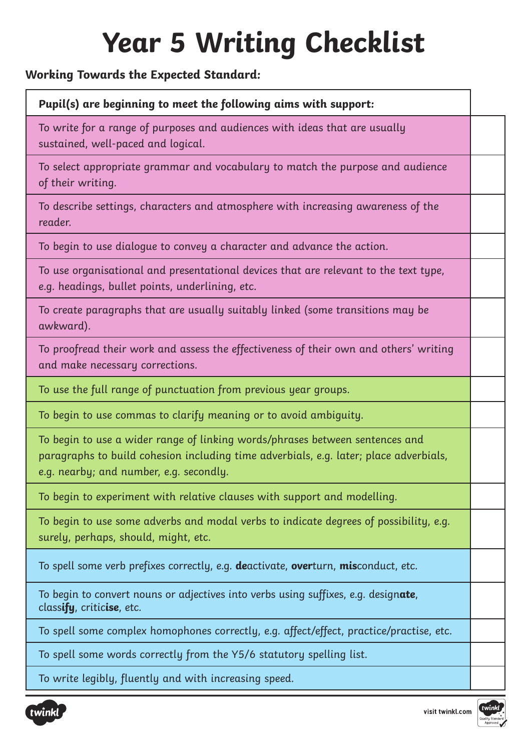### **Working Towards the Expected Standard:**

### **Pupil(s) are beginning to meet the following aims with support:**

To write for a range of purposes and audiences with ideas that are usually sustained, well-paced and logical.

To select appropriate grammar and vocabulary to match the purpose and audience of their writing.

To describe settings, characters and atmosphere with increasing awareness of the reader.

To begin to use dialogue to convey a character and advance the action.

To use organisational and presentational devices that are relevant to the text type, e.g. headings, bullet points, underlining, etc.

To create paragraphs that are usually suitably linked (some transitions may be awkward).

To proofread their work and assess the effectiveness of their own and others' writing and make necessary corrections.

To use the full range of punctuation from previous year groups.

To begin to use commas to clarify meaning or to avoid ambiguity.

To begin to use a wider range of linking words/phrases between sentences and paragraphs to build cohesion including time adverbials, e.g. later; place adverbials, e.g. nearby; and number, e.g. secondly.

To begin to experiment with relative clauses with support and modelling.

To begin to use some adverbs and modal verbs to indicate degrees of possibility, e.g. surely, perhaps, should, might, etc.

To spell some verb prefixes correctly, e.g. **de**activate, **over**turn, **mis**conduct, etc.

To begin to convert nouns or adjectives into verbs using suffixes, e.g. design**ate**, class**ify**, critic**ise**, etc.

To spell some complex homophones correctly, e.g. affect/effect, practice/practise, etc.

To spell some words correctly from the Y5/6 statutory spelling list.

To write legibly, fluently and with increasing speed.



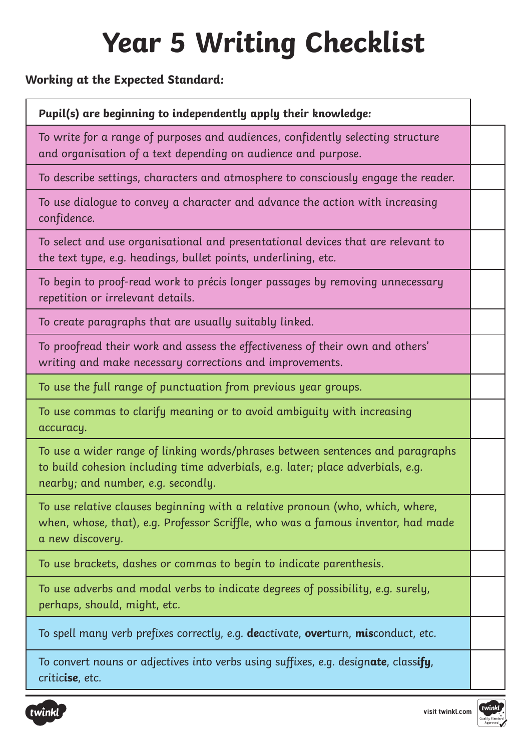### **Working at the Expected Standard:**

#### **Pupil(s) are beginning to independently apply their knowledge:**

To write for a range of purposes and audiences, confidently selecting structure and organisation of a text depending on audience and purpose.

To describe settings, characters and atmosphere to consciously engage the reader.

To use dialogue to convey a character and advance the action with increasing confidence.

To select and use organisational and presentational devices that are relevant to the text type, e.g. headings, bullet points, underlining, etc.

To begin to proof-read work to précis longer passages by removing unnecessary repetition or irrelevant details.

To create paragraphs that are usually suitably linked.

To proofread their work and assess the effectiveness of their own and others' writing and make necessary corrections and improvements.

To use the full range of punctuation from previous year groups.

To use commas to clarify meaning or to avoid ambiguity with increasing accuracy.

To use a wider range of linking words/phrases between sentences and paragraphs to build cohesion including time adverbials, e.g. later; place adverbials, e.g. nearby; and number, e.g. secondly.

To use relative clauses beginning with a relative pronoun (who, which, where, when, whose, that), e.g. Professor Scriffle, who was a famous inventor, had made a new discovery.

To use brackets, dashes or commas to begin to indicate parenthesis.

To use adverbs and modal verbs to indicate degrees of possibility, e.g. surely, perhaps, should, might, etc.

To spell many verb prefixes correctly, e.g. **de**activate, **over**turn, **mis**conduct, etc.

To convert nouns or adjectives into verbs using suffixes, e.g. design**ate**, class**ify**, critic**ise**, etc.



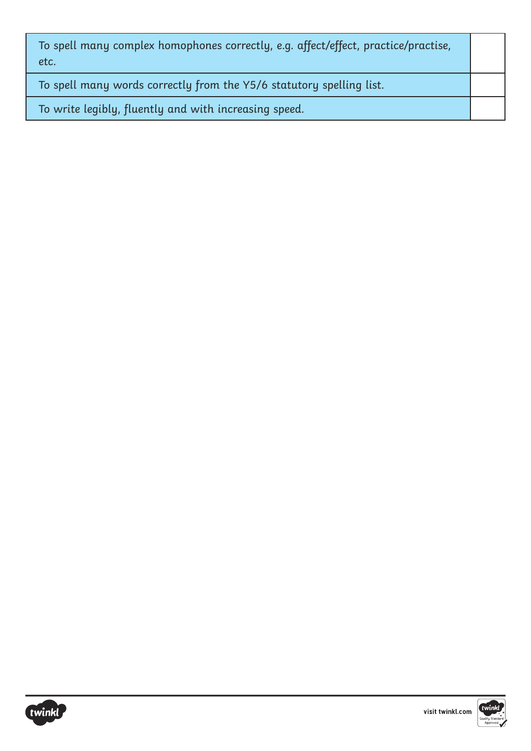| To spell many complex homophones correctly, e.g. affect/effect, practice/practise,<br>etc. |  |
|--------------------------------------------------------------------------------------------|--|
| To spell many words correctly from the Y5/6 statutory spelling list.                       |  |
| To write legibly, fluently and with increasing speed.                                      |  |



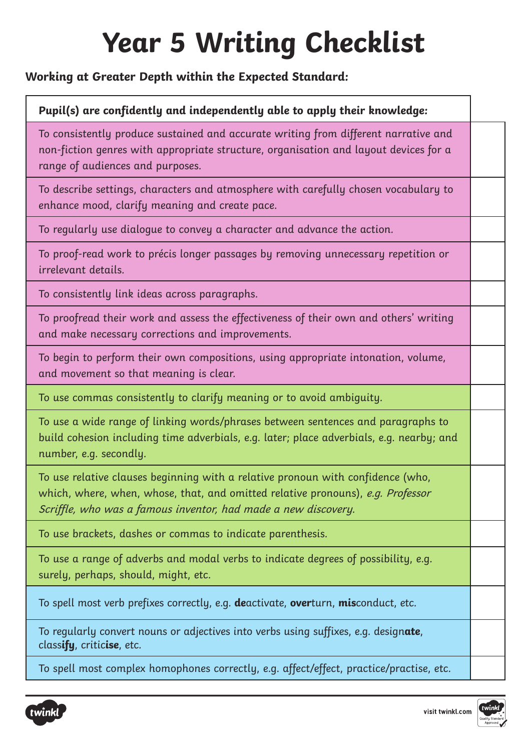### **Working at Greater Depth within the Expected Standard:**

#### **Pupil(s) are confidently and independently able to apply their knowledge:**

To consistently produce sustained and accurate writing from different narrative and non-fiction genres with appropriate structure, organisation and layout devices for a range of audiences and purposes.

To describe settings, characters and atmosphere with carefully chosen vocabulary to enhance mood, clarify meaning and create pace.

To regularly use dialogue to convey a character and advance the action.

To proof-read work to précis longer passages by removing unnecessary repetition or irrelevant details.

To consistently link ideas across paragraphs.

To proofread their work and assess the effectiveness of their own and others' writing and make necessary corrections and improvements.

To begin to perform their own compositions, using appropriate intonation, volume, and movement so that meaning is clear.

To use commas consistently to clarify meaning or to avoid ambiguity.

To use a wide range of linking words/phrases between sentences and paragraphs to build cohesion including time adverbials, e.g. later; place adverbials, e.g. nearby; and number, e.g. secondly.

To use relative clauses beginning with a relative pronoun with confidence (who, which, where, when, whose, that, and omitted relative pronouns), e.g. Professor Scriffle, who was a famous inventor, had made a new discovery.

To use brackets, dashes or commas to indicate parenthesis.

To use a range of adverbs and modal verbs to indicate degrees of possibility, e.g. surely, perhaps, should, might, etc.

To spell most verb prefixes correctly, e.g. **de**activate, **over**turn, **mis**conduct, etc.

To regularly convert nouns or adjectives into verbs using suffixes, e.g. design**ate**, class**ify**, critic**ise**, etc.

To spell most complex homophones correctly, e.g. affect/effect, practice/practise, etc.